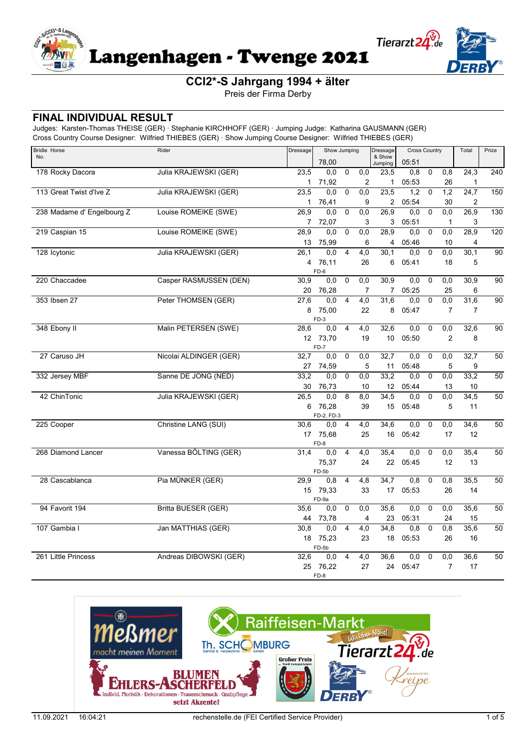

Preis der Firma Derby

### **FINAL INDIVIDUAL RESULT**

| <b>Bridle Horse</b>        | Rider<br>Dressage<br>Show Jumping |             |                  | Dressage       |                  |                   | <b>Cross Country</b> |                | Total               | Prize             |                 |
|----------------------------|-----------------------------------|-------------|------------------|----------------|------------------|-------------------|----------------------|----------------|---------------------|-------------------|-----------------|
| No.                        |                                   |             | 78,00            |                |                  | & Show<br>Jumping | 05:51                |                |                     |                   |                 |
| 178 Rocky Dacora           | Julia KRAJEWSKI (GER)             | 23,5        | 0,0              | $\mathbf 0$    | 0,0              | 23,5              | 0, 8                 | $\mathbf 0$    | 0,8                 | $\overline{24,3}$ | 240             |
|                            |                                   | $\mathbf 1$ | 71,92            |                | $\overline{2}$   | 1                 | 05:53                |                | 26                  | 1                 |                 |
| 113 Great Twist d'Ive Z    | Julia KRAJEWSKI (GER)             | 23,5        | 0,0              | $\mathbf 0$    | 0,0              | 23,5              | 1,2                  | $\mathbf 0$    | $\overline{1,2}$    | $\overline{24,7}$ | 150             |
|                            |                                   | 1.          | 76,41            |                | 9                | $\overline{2}$    | 05:54                |                | 30                  | 2                 |                 |
| 238 Madame d' Engelbourg Z | Louise ROMEIKE (SWE)              | 26,9        | 0,0              | $\mathbf 0$    | 0,0              | 26,9              | 0,0                  | $\mathbf 0$    | 0,0                 | 26,9              | 130             |
| 219 Caspian 15             | Louise ROMEIKE (SWE)              | 7<br>28,9   | 72,07<br>0,0     | $\mathbf 0$    | 3<br>0,0         | 3<br>28,9         | 05:51<br>0,0         | $\mathbf 0$    | $\mathbf{1}$<br>0,0 | 3<br>28,9         | 120             |
|                            |                                   | 13          | 75,99            |                | 6                | 4                 | 05:46                |                | 10                  | 4                 |                 |
| 128 Icytonic               | Julia KRAJEWSKI (GER)             | 26.1        | 0.0              | $\overline{4}$ | $\overline{4,0}$ | 30,1              | 0.0                  | $\overline{0}$ | 0,0                 | 30.1              | 90              |
|                            |                                   | 4           | 76,11            |                | 26               | 6                 | 05:41                |                | 18                  | 5                 |                 |
|                            |                                   |             | FD-6             |                |                  |                   |                      |                |                     |                   |                 |
| 220 Chaccadee              | Casper RASMUSSEN (DEN)            | 30,9        | 0,0              | $\overline{0}$ | 0,0              | 30,9              | 0,0                  | $\mathbf 0$    | 0,0                 | 30,9              | 90              |
|                            |                                   | 20          | 76,28            |                | 7                | 7                 | 05:25                |                | 25                  | 6                 |                 |
| 353 Ibsen 27               | Peter THOMSEN (GER)               | 27,6        | 0,0              | 4              | 4,0              | 31,6              | 0,0                  | $\mathbf 0$    | 0,0                 | 31,6              | $\overline{90}$ |
|                            |                                   | 8           | 75,00            |                | 22               | 8                 | 05:47                |                | $\overline{7}$      | $\overline{7}$    |                 |
|                            |                                   |             | FD-3             |                |                  |                   |                      |                |                     |                   |                 |
| 348 Ebony II               | Malin PETERSEN (SWE)              | 28.6        | 0,0              | $\overline{4}$ | 4,0              | 32,6              | 0,0                  | $\mathbf 0$    | 0,0                 | 32,6              | 90              |
|                            |                                   |             | 12 73,70<br>FD-7 |                | 19               | 10 <sup>1</sup>   | 05:50                |                | $\overline{2}$      | 8                 |                 |
| 27 Caruso JH               | Nicolai ALDINGER (GER)            | 32,7        | 0,0              | $\overline{0}$ | 0,0              | 32,7              | 0,0                  | $\overline{0}$ | 0,0                 | 32,7              | 50              |
|                            |                                   | 27          | 74,59            |                | 5                | 11                | 05:48                |                | 5                   | 9                 |                 |
| 332 Jersey MBF             | Sanne DE JONG (NED)               | 33,2        | 0,0              | $\mathbf 0$    | 0,0              | 33,2              | 0,0                  | $\mathbf 0$    | 0,0                 | 33,2              | 50              |
|                            |                                   | 30          | 76,73            |                | 10               | 12                | 05:44                |                | 13                  | 10                |                 |
| 42 ChinTonic               | Julia KRAJEWSKI (GER)             | 26.5        | 0.0              | 8              | 8,0              | 34,5              | 0,0                  | $\mathbf 0$    | 0,0                 | 34,5              | 50              |
|                            |                                   | 6           | 76,28            |                | 39               | 15                | 05:48                |                | 5                   | 11                |                 |
|                            |                                   |             | FD-2, FD-3       |                |                  |                   |                      |                |                     |                   |                 |
| 225 Cooper                 | Christine LANG (SUI)              | 30,6        | 0.0              | $\overline{4}$ | 4,0              | 34,6              | 0,0                  | $\mathbf 0$    | 0,0                 | 34,6              | 50              |
|                            |                                   |             | 17 75,68<br>FD-8 |                | 25               | 16                | 05:42                |                | 17                  | 12                |                 |
| 268 Diamond Lancer         | Vanessa BÖLTING (GER)             | 31.4        | 0,0              | 4              | 4,0              | 35,4              | 0,0                  | $\mathbf 0$    | 0,0                 | 35,4              | 50              |
|                            |                                   |             | 75,37            |                | 24               | 22                | 05:45                |                | 12                  | 13                |                 |
|                            |                                   |             | FD-5b            |                |                  |                   |                      |                |                     |                   |                 |
| 28 Cascablanca             | Pia MÜNKER (GER)                  | 29,9        | 0,8              | $\overline{4}$ | 4,8              | 34,7              | 0,8                  | $\mathbf 0$    | 0,8                 | 35,5              | 50              |
|                            |                                   |             | 15 79,33         |                | 33               | 17                | 05:53                |                | 26                  | 14                |                 |
|                            |                                   |             | FD-9a            |                |                  |                   |                      |                |                     |                   |                 |
| 94 Favorit 194             | <b>Britta BUESER (GER)</b>        | 35.6        | 0,0              | $\mathbf 0$    | 0.0              | 35,6              | 0,0                  | $\mathbf 0$    | $\overline{0,0}$    | 35,6              | 50              |
|                            |                                   | 44          | 73,78            |                | 4                | 23                | 05:31                |                | 24                  | 15                |                 |
| 107 Gambia I               | Jan MATTHIAS (GER)                | 30,8        | 0.0              | 4              | 4,0              | 34,8              | 0,8                  | $\mathbf 0$    | 0,8                 | 35,6              | 50              |
|                            |                                   | 18          | 75,23            |                | 23               | 18                | 05:53                |                | 26                  | 16                |                 |
| 261 Little Princess        | Andreas DIBOWSKI (GER)            | 32,6        | FD-5b<br>0,0     | 4              | 4,0              | 36,6              | 0,0                  | $\mathbf 0$    | 0,0                 | 36,6              | 50              |
|                            |                                   | 25          | 76,22            |                | 27               | 24                | 05:47                |                | $\overline{7}$      | 17                |                 |
|                            |                                   |             | FD-8             |                |                  |                   |                      |                |                     |                   |                 |

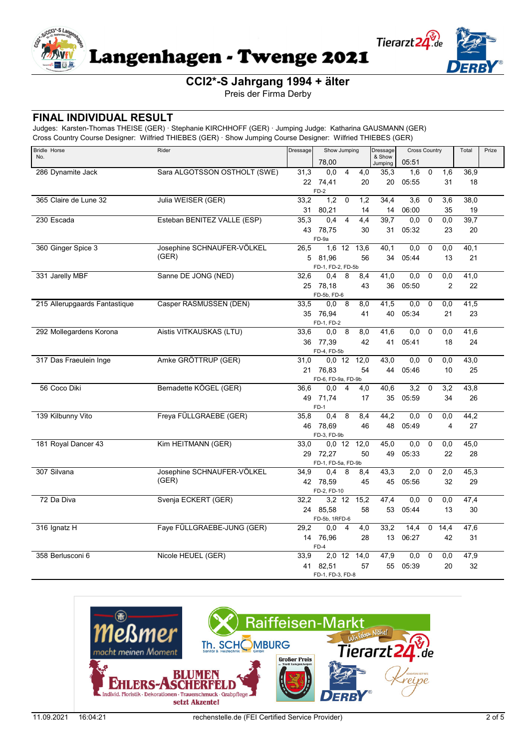



Preis der Firma Derby

## FINAL INDIVIDUAL RESULT

| <b>Bridle Horse</b>           | Rider                        | Dressage         | Show Jumping<br>78,00   |                       | Dressage          | <b>Cross Country</b><br>05:51 |             |                  | Total | Prize |  |
|-------------------------------|------------------------------|------------------|-------------------------|-----------------------|-------------------|-------------------------------|-------------|------------------|-------|-------|--|
| No.                           |                              |                  |                         |                       | & Show<br>Jumping |                               |             |                  |       |       |  |
| 286 Dynamite Jack             | Sara ALGOTSSON OSTHOLT (SWE) | 31,3             | 0,0                     | $\overline{4}$<br>4,0 | 35,3              | 1,6                           | $\mathbf 0$ | $\overline{1,6}$ | 36,9  |       |  |
|                               |                              |                  | 22 74,41                | 20                    | 20                | 05:55                         |             | 31               | 18    |       |  |
|                               |                              |                  | $FD-2$                  |                       |                   |                               |             |                  |       |       |  |
| 365 Claire de Lune 32         | Julia WEISER (GER)           | 33,2             | 1,2                     | 1,2<br>$\mathbf 0$    | 34,4              | 3,6                           | 0           | 3,6              | 38,0  |       |  |
|                               |                              | 31               | 80,21                   | 14                    | 14                | 06:00                         |             | 35               | 19    |       |  |
| 230 Escada                    | Esteban BENITEZ VALLE (ESP)  | 35,3             | 0,4                     | 4,4<br>4              | 39,7              | 0,0                           | $\pmb{0}$   | $\overline{0,0}$ | 39,7  |       |  |
|                               |                              |                  | 43 78,75                | 30                    | 31                | 05:32                         |             | 23               | 20    |       |  |
|                               |                              |                  | FD-9a                   |                       |                   |                               |             |                  |       |       |  |
| 360 Ginger Spice 3            | Josephine SCHNAUFER-VÖLKEL   | 26,5             |                         | 1,6 12 13,6           | 40,1              | 0,0                           | 0           | 0,0              | 40,1  |       |  |
|                               | (GER)                        |                  | 5 81,96                 | 56                    | 34                | 05:44                         |             | 13               | 21    |       |  |
|                               |                              |                  | FD-1, FD-2, FD-5b       |                       |                   |                               |             |                  |       |       |  |
| 331 Jarelly MBF               | Sanne DE JONG (NED)          | 32,6             | 0,4                     | 8<br>8,4              | 41,0              | 0,0                           | 0           | 0,0              | 41,0  |       |  |
|                               |                              |                  | 25 78,18                | 43                    | 36                | 05:50                         |             | $\overline{2}$   | 22    |       |  |
|                               |                              |                  | FD-5b, FD-6             |                       |                   |                               |             |                  |       |       |  |
| 215 Allerupgaards Fantastique | Casper RASMUSSEN (DEN)       | 33,5             | 0,0                     | - 8<br>8,0            | 41,5              | 0,0                           | 0           | 0,0              | 41,5  |       |  |
|                               |                              |                  | 35 76,94                | 41                    | 40                | 05:34                         |             | 21               | 23    |       |  |
|                               |                              |                  | FD-1, FD-2              |                       |                   |                               |             |                  |       |       |  |
| 292 Mollegardens Korona       | Aistis VITKAUSKAS (LTU)      | 33,6             | 0,0 8                   | 8,0                   | 41,6              | 0,0                           | 0           | 0,0              | 41,6  |       |  |
|                               |                              |                  | 36 77,39                | 42                    | 41                | 05:41                         |             | 18               | 24    |       |  |
|                               |                              |                  | FD-4, FD-5b             |                       |                   |                               |             |                  |       |       |  |
| 317 Das Fraeulein Inge        | Amke GRÖTTRUP (GER)          | 31,0             |                         | 0,0 12 12,0           | 43,0              | 0,0                           | 0           | 0,0              | 43,0  |       |  |
|                               |                              |                  | 21 76,83                | 54                    | 44                | 05:46                         |             | 10               | 25    |       |  |
|                               |                              |                  | FD-6, FD-9a, FD-9b      |                       |                   |                               |             |                  |       |       |  |
| 56 Coco Diki                  | Bernadette KÖGEL (GER)       | 36,6             | 0,0                     | $\overline{4}$<br>4,0 | 40,6              | 3,2                           | 0           | 3,2              | 43,8  |       |  |
|                               |                              |                  | 49 71,74                | 17                    | 35                | 05:59                         |             | 34               | 26    |       |  |
| 139 Kilbunny Vito             | Freya FÜLLGRAEBE (GER)       |                  | $FD-1$                  | 8                     |                   |                               | 0           | 0,0              | 44,2  |       |  |
|                               |                              | 35,8             | 0,4                     | 8,4                   | 44,2              | 0,0                           |             |                  |       |       |  |
|                               |                              |                  | 46 78,69<br>FD-3, FD-9b | 46                    | 48                | 05:49                         |             | 4                | 27    |       |  |
| 181 Royal Dancer 43           | Kim HEITMANN (GER)           | 33,0             | $0,0$ 12                | 12,0                  | 45,0              | 0,0                           | $\pmb{0}$   | 0,0              | 45,0  |       |  |
|                               |                              |                  | 29 72,27                | 50                    | 49                | 05:33                         |             | 22               | 28    |       |  |
|                               |                              |                  | FD-1, FD-5a, FD-9b      |                       |                   |                               |             |                  |       |       |  |
| 307 Silvana                   | Josephine SCHNAUFER-VÖLKEL   | 34,9             | 0,4                     | 8<br>8,4              | 43,3              | 2,0                           | $\mathbf 0$ | 2,0              | 45,3  |       |  |
|                               | (GER)                        |                  | 42 78,59                | 45                    | 45                | 05:56                         |             | 32               | 29    |       |  |
|                               |                              |                  | FD-2, FD-10             |                       |                   |                               |             |                  |       |       |  |
| 72 Da Diva                    | Svenja ECKERT (GER)          | 32,2             |                         | 3,2 12 15,2           | 47,4              | 0,0                           | 0           | 0,0              | 47,4  |       |  |
|                               |                              |                  | 24 85,58                | 58                    | 53                | 05:44                         |             | 13               | 30    |       |  |
|                               |                              |                  | FD-5b, 1RFD-6           |                       |                   |                               |             |                  |       |       |  |
| 316 Ignatz H                  | Faye FÜLLGRAEBE-JUNG (GER)   | 29,2             | 0,0                     | $\overline{4}$<br>4,0 | 33,2              | 14,4                          | 0           | 14,4             | 47,6  |       |  |
|                               |                              | 14               | 76,96                   | 28                    | 13                | 06:27                         |             | 42               | 31    |       |  |
|                               |                              |                  | $FD-4$                  |                       |                   |                               |             |                  |       |       |  |
| 358 Berlusconi 6              | Nicole HEUEL (GER)           | 33,9             | 2,0 12                  | 14,0                  | 47,9              | 0,0                           | 0           | 0,0              | 47,9  |       |  |
|                               |                              |                  | 41 82,51                | 57                    | 55                | 05:39                         |             | 20               | 32    |       |  |
|                               |                              | FD-1, FD-3, FD-8 |                         |                       |                   |                               |             |                  |       |       |  |

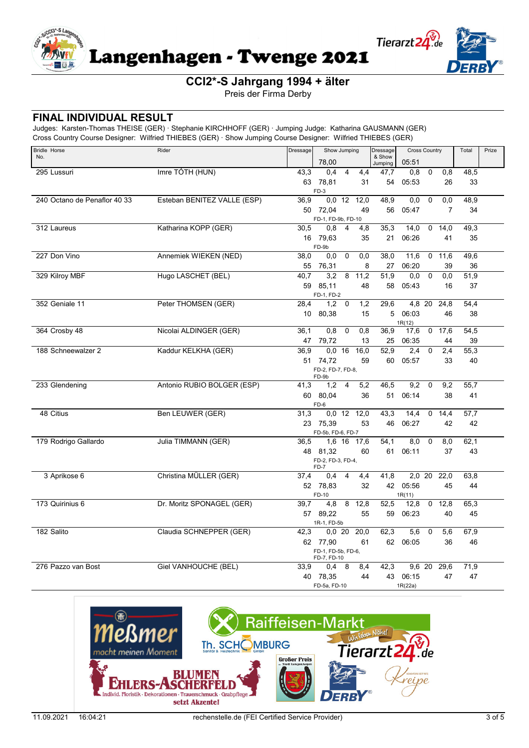

Preis der Firma Derby

#### **FINAL INDIVIDUAL RESULT**

| <b>Bridle Horse</b>          | Rider                       | Dressage | Show Jumping                      |                |               | Dressage          | <b>Cross Country</b> |              |                  | Total             | Prize |
|------------------------------|-----------------------------|----------|-----------------------------------|----------------|---------------|-------------------|----------------------|--------------|------------------|-------------------|-------|
| No.                          |                             |          | 78,00                             |                |               | & Show<br>Jumping | 05:51                |              |                  |                   |       |
| 295 Lussuri                  | Imre TÓTH (HUN)             | 43,3     | 0.4                               | 4              | 4,4           | 47,7              | 0,8                  | 0            | 0,8              | 48,5              |       |
|                              |                             | 63       | 78,81                             |                | 31            | 54                | 05:53                |              | 26               | 33                |       |
|                              |                             |          | $FD-3$                            |                |               |                   |                      |              |                  |                   |       |
| 240 Octano de Penaflor 40 33 | Esteban BENITEZ VALLE (ESP) | 36,9     |                                   |                | $0,0$ 12 12,0 | 48,9              | 0,0                  | $\mathbf 0$  | 0,0              | 48,9              |       |
|                              |                             |          | 50 72,04                          |                | 49            | 56                | 05:47                |              | 7                | 34                |       |
| 312 Laureus                  | Katharina KOPP (GER)        | 30,5     | FD-1, FD-9b, FD-10<br>0,8         | $\overline{4}$ | 4,8           | 35,3              | 14,0                 | 0            | 14,0             | 49,3              |       |
|                              |                             |          | 16 79,63                          |                | 35            | 21                | 06:26                |              | 41               | 35                |       |
|                              |                             |          | FD-9b                             |                |               |                   |                      |              |                  |                   |       |
| 227 Don Vino                 | Annemiek WIEKEN (NED)       | 38,0     | 0,0                               | $\mathbf 0$    | 0,0           | 38,0              | 11,6                 |              | 0, 11.6          | 49,6              |       |
|                              |                             | 55       | 76,31                             |                | 8             | 27                | 06:20                |              | 39               | 36                |       |
| 329 Kilroy MBF               | Hugo LASCHET (BEL)          | 40,7     | 3.2                               | 8              | 11,2          | 51,9              | 0,0                  | $\mathbf 0$  | 0,0              | 51,9              |       |
|                              |                             | 59       | 85,11                             |                | 48            | 58                | 05:43                |              | 16               | 37                |       |
|                              |                             |          | FD-1, FD-2                        |                |               |                   |                      |              |                  |                   |       |
| 352 Geniale 11               | Peter THOMSEN (GER)         | 28,4     | 1,2                               | 0              | 1,2           | 29,6              |                      | 4,8 20       | 24,8             | 54,4              |       |
|                              |                             |          | 10 80,38                          |                | 15            | 5                 | 06:03                |              | 46               | 38                |       |
| 364 Crosby 48                | Nicolai ALDINGER (GER)      | 36,1     | 0,8                               | $\Omega$       | 0,8           | 36,9              | 1R(12)<br>17,6       |              | 0, 17.6          | 54,5              |       |
|                              |                             | 47       | 79,72                             |                | 13            | 25                | 06:35                |              | 44               | 39                |       |
| 188 Schneewalzer 2           | Kaddur KELKHA (GER)         | 36,9     |                                   | 0.0 16         | 16.0          | 52, 9             | 2,4                  | 0            | 2,4              | $\overline{55,3}$ |       |
|                              |                             |          | 51 74,72                          |                | 59            | 60                | 05:57                |              | 33               | 40                |       |
|                              |                             |          | FD-2, FD-7, FD-8.                 |                |               |                   |                      |              |                  |                   |       |
|                              |                             |          | FD-9b                             |                |               |                   |                      |              |                  |                   |       |
| 233 Glendening               | Antonio RUBIO BOLGER (ESP)  | 41,3     | 1,2                               | $\overline{4}$ | 5,2           | 46,5              | 9,2                  | 0            | 9,2              | 55,7              |       |
|                              |                             | 60       | 80,04<br>FD-6                     |                | 36            | 51                | 06:14                |              | 38               | 41                |       |
| 48 Citius                    | Ben LEUWER (GER)            | 31,3     |                                   |                | $0,0$ 12 12,0 | 43,3              | 14,4                 | 0            | 14,4             | 57,7              |       |
|                              |                             | 23       | 75,39                             |                | 53            | 46                | 06:27                |              | 42               | 42                |       |
|                              |                             |          | FD-5b, FD-6, FD-7                 |                |               |                   |                      |              |                  |                   |       |
| 179 Rodrigo Gallardo         | Julia TIMMANN (GER)         | 36,5     |                                   |                | 1,6 16 17,6   | 54,1              | 8,0                  | $\mathbf 0$  | $\overline{8,0}$ | 62,1              |       |
|                              |                             |          | 48 81,32                          |                | 60            | 61                | 06:11                |              | 37               | 43                |       |
|                              |                             |          | FD-2, FD-3, FD-4,<br>FD-7         |                |               |                   |                      |              |                  |                   |       |
| 3 Aprikose 6                 | Christina MÜLLER (GER)      | 37,4     | 0.4                               | $\overline{4}$ | 4,4           | 41,8              |                      | 2,0 20       | 22.0             | 63,8              |       |
|                              |                             |          | 52 78,83                          |                | 32            |                   | 42 05:56             |              | 45               | 44                |       |
|                              |                             |          | FD-10                             |                |               |                   | 1R(11)               |              |                  |                   |       |
| 173 Quirinius 6              | Dr. Moritz SPONAGEL (GER)   | 39.7     | 4,8                               | 8              | 12,8          | 52,5              | 12,8                 | $\mathbf{0}$ | 12,8             | 65,3              |       |
|                              |                             |          | 57 89,22                          |                | 55            | 59                | 06:23                |              | 40               | 45                |       |
|                              |                             |          | 1R-1, FD-5b                       |                |               |                   |                      |              |                  |                   |       |
| 182 Salito                   | Claudia SCHNEPPER (GER)     | 42,3     |                                   | 0,0,20         | 20.0          | 62,3              | 5,6                  | 0            | 5,6              | 67,9              |       |
|                              |                             |          | 62 77,90                          |                | 61            | 62                | 06:05                |              | 36               | 46                |       |
|                              |                             |          | FD-1, FD-5b, FD-6,<br>FD-7, FD-10 |                |               |                   |                      |              |                  |                   |       |
| 276 Pazzo van Bost           | Giel VANHOUCHE (BEL)        | 33,9     | 0,4                               | 8              | 8,4           | 42,3              |                      | 9,6 20       | 29,6             | 71,9              |       |
|                              |                             |          | 40 78,35                          |                | 44            | 43                | 06:15                |              | 47               | 47                |       |
|                              |                             |          | FD-5a, FD-10                      |                |               |                   | 1R(22a)              |              |                  |                   |       |

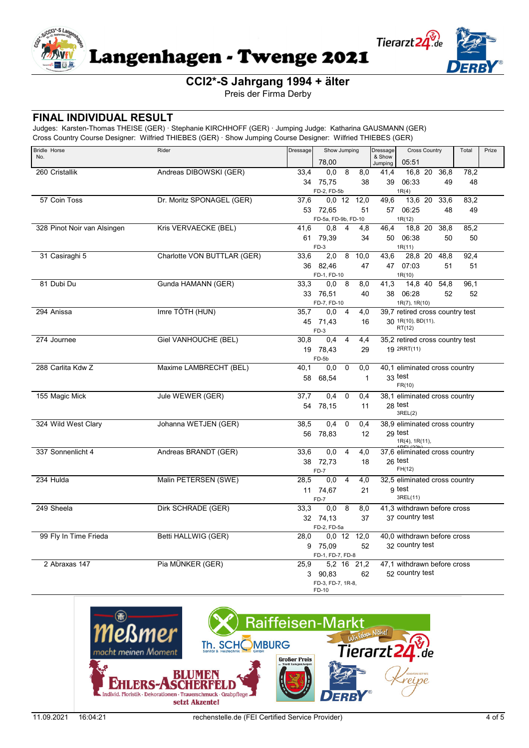

Preis der Firma Derby

## **FINAL INDIVIDUAL RESULT**

| <b>Bridle Horse</b>         | Rider                       | Dressage | Show Jumping                    |                | Dressage          | <b>Cross Country</b> |                                                |  | Total      | Prize      |  |
|-----------------------------|-----------------------------|----------|---------------------------------|----------------|-------------------|----------------------|------------------------------------------------|--|------------|------------|--|
| No.                         |                             |          | 78,00                           |                | & Show<br>Jumping | 05:51                |                                                |  |            |            |  |
| 260 Cristallik              | Andreas DIBOWSKI (GER)      | 33,4     | 0.0                             | 8              | 8,0               | 41.4                 | 16,8 20                                        |  | 36.8       | 78,2       |  |
|                             |                             |          | 34 75.75                        |                | 38                | 39                   | 06:33                                          |  | 49         | 48         |  |
|                             |                             |          | FD-2, FD-5b                     |                |                   |                      | 1R(4)                                          |  |            |            |  |
| 57 Coin Toss                | Dr. Moritz SPONAGEL (GER)   | 37,6     |                                 |                | $0,0$ 12 12,0     | 49,6                 | 13,6 20                                        |  | 33,6       | 83,2       |  |
|                             |                             |          | 53 72.65<br>FD-5a, FD-9b, FD-10 |                | 51                | 57                   | 06:25<br>1R(12)                                |  | 48         | 49         |  |
| 328 Pinot Noir van Alsingen | Kris VERVAECKE (BEL)        | 41,6     | 0,8                             | $\overline{4}$ | 4,8               | 46,4                 | 18,8 20                                        |  | 38,8       | 85,2       |  |
|                             |                             |          | 61 79,39                        |                | 34                | 50                   | 06:38                                          |  | 50         | 50         |  |
|                             |                             |          | $FD-3$                          |                |                   |                      | 1R(11)                                         |  |            |            |  |
| 31 Casiraghi 5              | Charlotte VON BUTTLAR (GER) | 33,6     | 2,0                             | 8              | 10,0              | 43,6                 | 28,8 20                                        |  | 48,8       | 92.4       |  |
|                             |                             |          | 36 82,46                        |                | 47                |                      | 47 07:03                                       |  | 51         | 51         |  |
|                             | Gunda HAMANN (GER)          |          | FD-1, FD-10                     | - 8            |                   |                      | 1R(10)                                         |  |            |            |  |
| 81 Dubi Du                  |                             | 33,3     | 0,0                             |                | 8,0<br>40         | 41,3                 | 14,8 40<br>38 06:28                            |  | 54,8<br>52 | 96,1<br>52 |  |
|                             |                             |          | 33 76,51<br>FD-7, FD-10         |                |                   |                      | 1R(7), 1R(10)                                  |  |            |            |  |
| 294 Anissa                  | Imre TÓTH (HUN)             | 35,7     | $0,0$ 4                         |                | 4,0               |                      | 39,7 retired cross country test                |  |            |            |  |
|                             |                             |          | 45 71,43                        |                | 16                |                      | 30 1R(10), BD(11),                             |  |            |            |  |
|                             |                             |          | FD-3                            |                |                   |                      | RT(12)                                         |  |            |            |  |
| 274 Journee                 | Giel VANHOUCHE (BEL)        | 30.8     | $0.4^{\circ}$                   | $\overline{4}$ | 4,4               |                      | 35,2 retired cross country test                |  |            |            |  |
|                             |                             |          | 19 78,43                        |                | 29                |                      | 19 2RRT(11)                                    |  |            |            |  |
|                             |                             |          | FD-5b                           |                |                   |                      |                                                |  |            |            |  |
| 288 Carlita Kdw Z           | Maxime LAMBRECHT (BEL)      | 40,1     | 0.0                             | $\mathbf 0$    | 0,0               |                      | 40,1 eliminated cross country<br>33 test       |  |            |            |  |
|                             |                             | 58       | 68.54                           |                | $\mathbf{1}$      |                      | FR(10)                                         |  |            |            |  |
| 155 Magic Mick              | Jule WEWER (GER)            | 37,7     | 0.4                             | $\mathbf 0$    | 0,4               |                      | 38.1 eliminated cross country                  |  |            |            |  |
|                             |                             |          | 54 78,15                        |                | 11                |                      | 28 test                                        |  |            |            |  |
|                             |                             |          |                                 |                |                   |                      | 3REL(2)                                        |  |            |            |  |
| 324 Wild West Clary         | Johanna WETJEN (GER)        | 38,5     | 0.4                             | 0              | 0,4               |                      | 38,9 eliminated cross country                  |  |            |            |  |
|                             |                             |          | 56 78,83                        |                | 12                |                      | 29 test<br>$1R(4)$ , $1R(11)$ ,                |  |            |            |  |
| 337 Sonnenlicht 4           | Andreas BRANDT (GER)        | 33,6     | 0.0                             | $\overline{4}$ | 4,0               |                      | 37,6 eliminated cross country                  |  |            |            |  |
|                             |                             |          | 38 72.73                        |                | 18                |                      | 26 test                                        |  |            |            |  |
|                             |                             |          | FD-7                            |                |                   |                      | FH(12)                                         |  |            |            |  |
| 234 Hulda                   | Malin PETERSEN (SWE)        | 28,5     | 0,0                             | $\overline{4}$ | 4,0               |                      | 32,5 eliminated cross country                  |  |            |            |  |
|                             |                             |          | 11 74,67                        |                | 21                |                      | g test                                         |  |            |            |  |
|                             |                             |          | FD-7                            |                |                   |                      | 3REL(11)                                       |  |            |            |  |
| 249 Sheela                  | Dirk SCHRADE (GER)          | 33,3     | 0.0                             | 8              | 8,0               |                      | 41,3 withdrawn before cross                    |  |            |            |  |
|                             |                             |          | 32 74,13                        |                | 37                |                      | 37 country test                                |  |            |            |  |
|                             |                             |          | FD-2. FD-5a                     |                |                   |                      |                                                |  |            |            |  |
| 99 Fly In Time Frieda       | Betti HALLWIG (GER)         | 28,0     |                                 |                | 0,0 12 12,0       |                      | 40.0 withdrawn before cross<br>32 country test |  |            |            |  |
|                             |                             |          | 9 75,09<br>FD-1, FD-7, FD-8     |                | 52                |                      |                                                |  |            |            |  |
| 2 Abraxas 147               | Pia MÜNKER (GER)            | 25,9     |                                 |                | 5,2 16 21,2       |                      | 47.1 withdrawn before cross                    |  |            |            |  |
|                             |                             |          | 3 90,83                         |                | 62                |                      | 52 country test                                |  |            |            |  |
|                             |                             |          | FD-3, FD-7, 1R-8,               |                |                   |                      |                                                |  |            |            |  |
|                             |                             |          | FD-10                           |                |                   |                      |                                                |  |            |            |  |